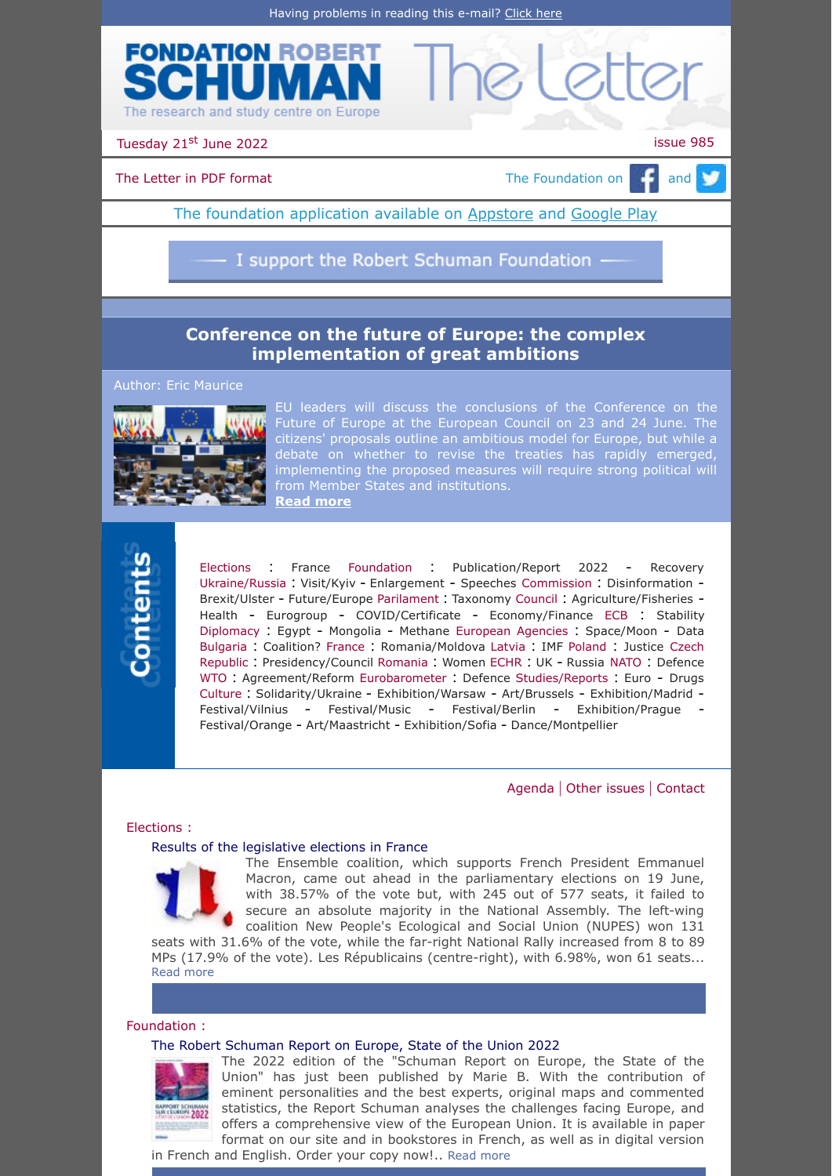

Tuesday 21<sup>st</sup> June 2022 **issue 985** 

[The Letter in PDF format](https://www.robert-schuman.eu/en/doc/lettres/lettre-985-en.pdf)  $\Box$  The Foundation on  $\Box$  and  $\Box$ 

The foundation application available on **Appstore** and [Google Play](https://play.google.com/store/apps/details?id=com.digiplace.fondation_Robert_Schuman)

I support the Robert Schuman Foundation -

# **[Conference on the future of Europe: the complex](https://www.robert-schuman.eu/en/doc/questions-d-europe/qe-636-en.pdf) implementation of great ambitions**

Author: Eric Maurice



EU leaders will discuss the conclusions of the Conference on the Future of Europe at the European Council on 23 and 24 June. The citizens' proposals outline an ambitious model for Europe, but while a debate on whether to revise the treaties has rapidly emerged, implementing the proposed measures will require strong political will from Member States and institutions. **[Read more](https://www.robert-schuman.eu/en/doc/questions-d-europe/qe-636-en.pdf)**



[Elections](#page-0-0) : [France](#page-0-1) [Foundation](#page-0-2) : [Publication/Report](#page-0-3) <sup>2022</sup> - [Recovery](#page-1-0) [Ukraine/Russia](#page-1-1) : [Visit/Kyiv](#page-1-2) - [Enlargement](#page-1-3) - [Speeches](#page-1-4) [Commission](#page-1-5) : [Disinformation](#page-1-6) - [Brexit/Ulster](#page-1-7) - [Future/Europe](#page-1-8) [Parilament](#page-2-0) : [Taxonomy](#page-2-1) [Council](#page-2-2) : [Agriculture/Fisheries](#page-2-3) - [Health](#page-2-4) - [Eurogroup](#page-2-5) - [COVID/Certificate](#page-2-6) - [Economy/Finance](#page-2-7) [ECB](#page-3-0) : [Stability](#page-3-1) [Diplomacy](#page-3-2) : [Egypt](#page-3-3) - [Mongolia](#page-3-4) - [Methane](#page-3-5) [European Agencies](#page-3-6) : [Space/Moon](#page-3-7) - [Data](#page-3-8) [Bulgaria](#page-3-9) : [Coalition?](#page-3-10) [France](#page-4-0) : [Romania/Moldova](#page-4-1) [Latvia](#page-4-2) : [IMF](#page-4-3) [Poland](#page-4-4) : [Justice](#page-4-5) Czech Republic : [Presidency/Council](#page-4-6) [Romania](#page-4-8) : [Women](#page-4-9) [ECHR](#page-4-10) : [UK](#page-4-11) - [Russia](#page-5-0) [NATO](#page-5-1) : [Defence](#page-5-2) [WTO](#page-5-3) : [Agreement/Reform](#page-5-4) [Eurobarometer](#page-5-5) : [Defence](#page-5-6) [Studies/Reports](#page-5-7) : [Euro](#page-5-8) - [Drugs](#page-5-9) [Culture](#page-5-10) : [Solidarity/Ukraine](#page-5-11) - [Exhibition/Warsaw](#page-6-0) - [Art/Brussels](#page-6-1) - [Exhibition/Madrid](#page-6-2) - [Festival/Vilnius](#page-6-3) - [Festival/Music](#page-6-4) - [Festival/Berlin](#page-6-5) - [Exhibition/Prague](#page-6-6) - [Festival/Orange](#page-7-0) - [Art/Maastricht](#page-7-1) - [Exhibition/Sofia](#page-7-2) - [Dance/Montpellier](#page-7-3)

[Agenda](#page-7-4) | [Other issues](#page-8-0) | [Contact](#page-8-1)

## <span id="page-0-0"></span>Elections :

## <span id="page-0-1"></span>[Results of the legislative elections in France](https://www.robert-schuman.eu/en/doc/oee/oee-1984-en.pdf)



The Ensemble coalition, which supports French President Emmanuel Macron, came out ahead in the parliamentary elections on 19 June, with 38.57% of the vote but, with 245 out of 577 seats, it failed to secure an absolute majority in the National Assembly. The left-wing coalition New People's Ecological and Social Union (NUPES) won 131

seats with 31.6% of the vote, while the far-right National Rally increased from 8 to 89 MPs (17.9% of the vote). Les Républicains (centre-right), with 6.98%, won 61 seats... [Read more](https://www.robert-schuman.eu/en/doc/oee/oee-1984-en.pdf)

## <span id="page-0-2"></span>Foundation :

## <span id="page-0-3"></span>[The Robert Schuman Report on Europe, State of the Union 2022](https://www.robert-schuman.eu/en/bookshop/0266-the-schuman-report-on-europe-the-state-of-the-union-2022)



The 2022 edition of the "Schuman Report on Europe, the State of the Union" has just been published by Marie B. With the contribution of eminent personalities and the best experts, original maps and commented statistics, the Report Schuman analyses the challenges facing Europe, and offers a comprehensive view of the European Union. It is available in paper format on our site and in bookstores in French, as well as in digital version

in French and English. Order your copy now!.. [Read more](https://www.robert-schuman.eu/en/bookshop/0266-the-schuman-report-on-europe-the-state-of-the-union-2022)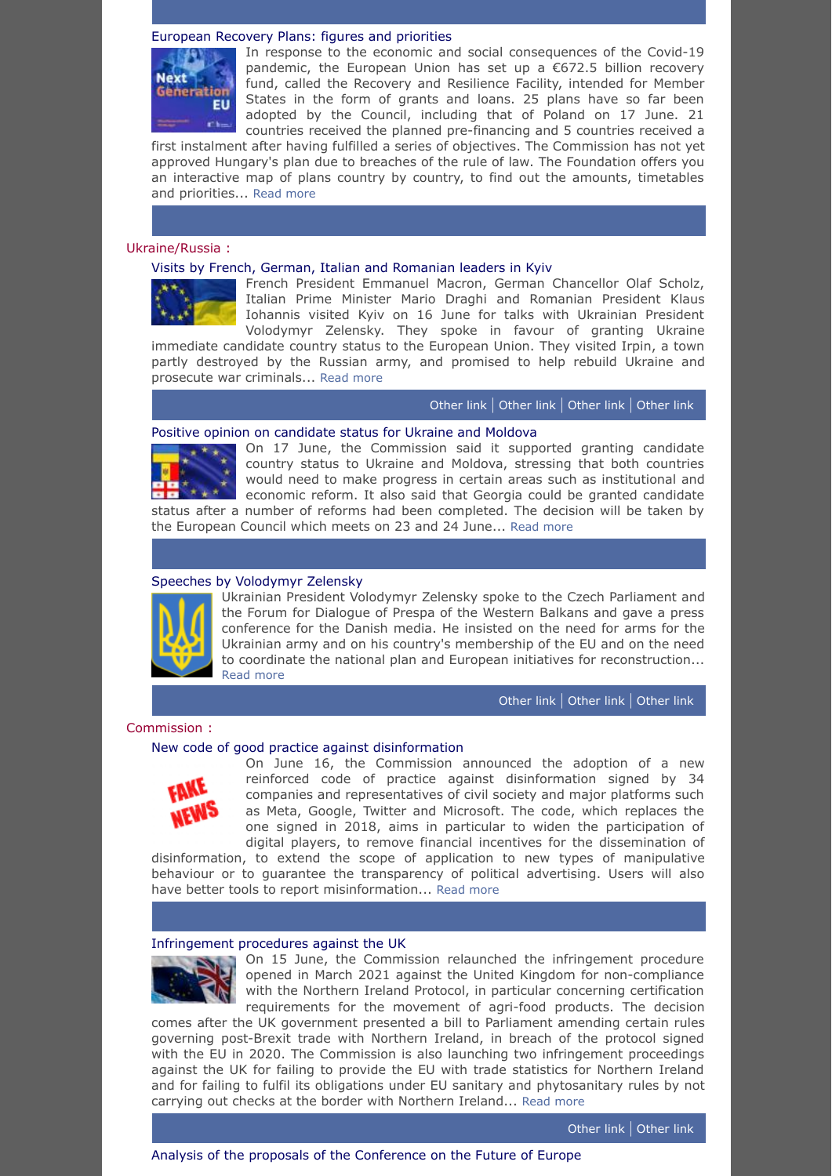## <span id="page-1-0"></span>[European Recovery Plans: figures and priorities](https://www.robert-schuman.eu/en/european-recovery-plan)



In response to the economic and social consequences of the Covid-19 pandemic, the European Union has set up a €672.5 billion recovery fund, called the Recovery and Resilience Facility, intended for Member States in the form of grants and loans. 25 plans have so far been adopted by the Council, including that of Poland on 17 June. 21 countries received the planned pre-financing and 5 countries received a

first instalment after having fulfilled a series of objectives. The Commission has not yet approved Hungary's plan due to breaches of the rule of law. The Foundation offers you an interactive map of plans country by country, to find out the amounts, timetables and priorities... [Read more](https://www.robert-schuman.eu/en/european-recovery-plan)

## <span id="page-1-1"></span>Ukraine/Russia :

## <span id="page-1-2"></span>[Visits by French, German, Italian and Romanian leaders in Kyiv](https://www.president.gov.ua/en/news/volodimir-zelenskij-u-kiyevi-proviv-zustrich-z-liderami-nime-75845)



French President Emmanuel Macron, German Chancellor Olaf Scholz, Italian Prime Minister Mario Draghi and Romanian President Klaus Iohannis visited Kyiv on 16 June for talks with Ukrainian President Volodymyr Zelensky. They spoke in favour of granting Ukraine

immediate candidate country status to the European Union. They visited Irpin, a town partly destroyed by the Russian army, and promised to help rebuild Ukraine and prosecute war criminals... [Read more](https://www.president.gov.ua/en/news/volodimir-zelenskij-u-kiyevi-proviv-zustrich-z-liderami-nime-75845)

[Other](https://www.bundeskanzler.de/bk-de/aktuelles/bundeskanzler-in-kiew-2053384) link | [Other](https://www.governo.it/it/articolo/draghi-macron-e-scholz-kiev/20071) link | [Other](https://www.elysee.fr/emmanuel-macron/2022/06/16/deplacement-du-president-de-la-republique-en-ukraine-1) link | [Other](https://www.president.gov.ua/en/news/volodimir-zelenskij-u-kiyevi-proviv-zustrich-z-liderami-nime-75845) link

## <span id="page-1-3"></span>[Positive opinion on candidate status for Ukraine and Moldova](https://ec.europa.eu/commission/presscorner/detail/en/ip_22_3790)



On 17 June, the Commission said it supported granting candidate country status to Ukraine and Moldova, stressing that both countries would need to make progress in certain areas such as institutional and economic reform. It also said that Georgia could be granted candidate status after a number of reforms had been completed. The decision will be taken by

the European Council which meets on 23 and 24 June... [Read more](https://ec.europa.eu/commission/presscorner/detail/en/ip_22_3790)

## <span id="page-1-4"></span>[Speeches by Volodymyr Zelensky](https://www.president.gov.ua/en/news/zvernennya-prezidenta-ukrayini-do-uchasnikiv-blagodijnogo-ve-75789)



Ukrainian President Volodymyr Zelensky spoke to the Czech Parliament and the Forum for Dialogue of Prespa of the Western Balkans and gave a press conference for the Danish media. He insisted on the need for arms for the Ukrainian army and on his country's membership of the EU and on the need to coordinate the national plan and European initiatives for reconstruction... [Read more](https://www.president.gov.ua/en/news/zvernennya-prezidenta-ukrayini-do-uchasnikiv-blagodijnogo-ve-75789)

[Other](https://www.president.gov.ua/en/news/ukrayina-peremozhe-yaksho-yevropa-ta-svit-i-nadali-budut-oby-75813) link | [Other](https://www.president.gov.ua/en/news/promova-prezidenta-ukrayini-pered-oboma-palatami-parlamentu-75825) link | [Other](https://www.president.gov.ua/en/news/i-ukrayina-i-derzhavi-zahidnih-balkan-odnakovo-zacikavleni-u-75857) link

## <span id="page-1-5"></span>Commission :

## <span id="page-1-6"></span>[New code of good practice against disinformation](https://ec.europa.eu/commission/presscorner/detail/en/ip_22_3664)



On June 16, the Commission announced the adoption of a new reinforced code of practice against disinformation signed by 34 companies and representatives of civil society and major platforms such as Meta, Google, Twitter and Microsoft. The code, which replaces the one signed in 2018, aims in particular to widen the participation of digital players, to remove financial incentives for the dissemination of

disinformation, to extend the scope of application to new types of manipulative behaviour or to guarantee the transparency of political advertising. Users will also have better tools to report misinformation... [Read more](https://ec.europa.eu/commission/presscorner/detail/en/ip_22_3664)

#### <span id="page-1-7"></span>[Infringement procedures against the UK](https://ec.europa.eu/commission/presscorner/detail/en/ip_22_3676)



On 15 June, the Commission relaunched the infringement procedure opened in March 2021 against the United Kingdom for non-compliance with the Northern Ireland Protocol, in particular concerning certification requirements for the movement of agri-food products. The decision

comes after the UK government presented a bill to Parliament amending certain rules governing post-Brexit trade with Northern Ireland, in breach of the protocol signed with the EU in 2020. The Commission is also launching two infringement proceedings against the UK for failing to provide the EU with trade statistics for Northern Ireland and for failing to fulfil its obligations under EU sanitary and phytosanitary rules by not carrying out checks at the border with Northern Ireland... [Read more](https://ec.europa.eu/commission/presscorner/detail/en/ip_22_3676)

[Other](https://www.gov.uk/government/news/government-introduces-bill-to-fix-the-northern-ireland-protocol) link | [Other](https://ec.europa.eu/commission/presscorner/detail/fr/statement_22_3698) link

<span id="page-1-8"></span>[Analysis of the proposals of the Conference on the Future of Europe](https://ec.europa.eu/commission/presscorner/detail/en/ip_22_3750)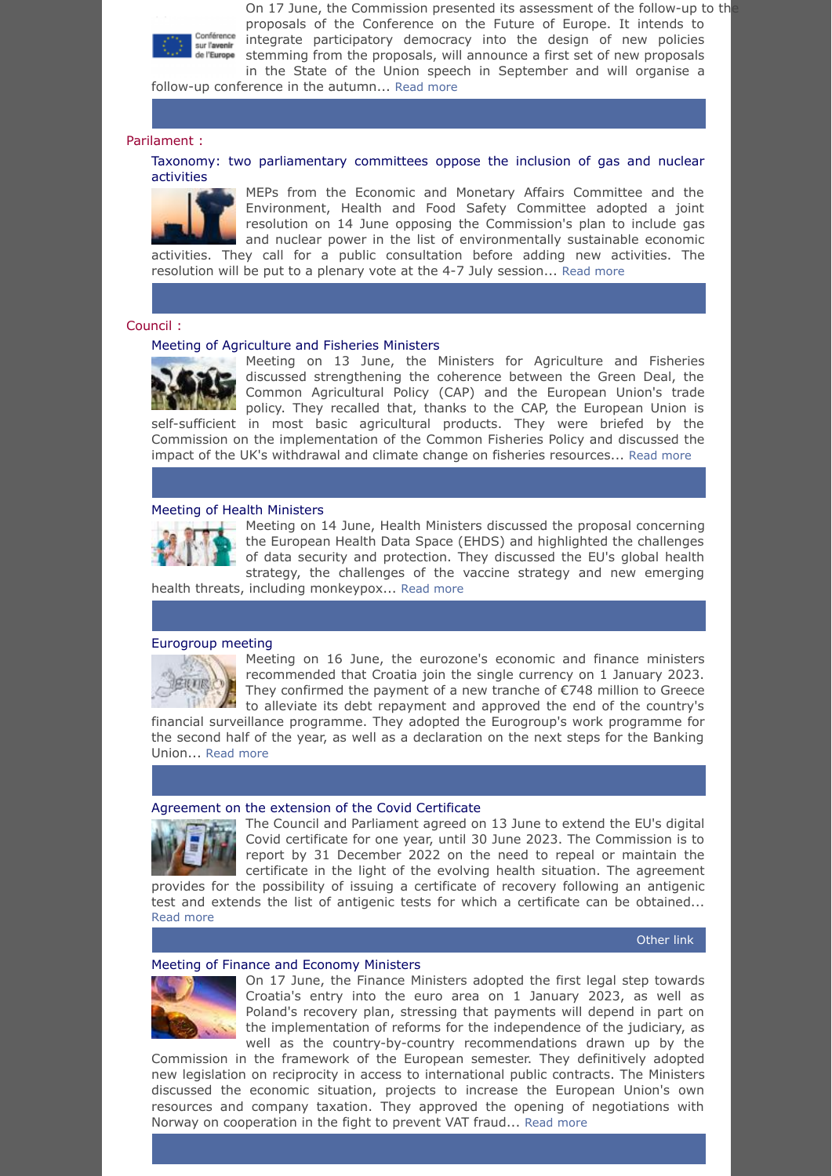

On 17 June, the Commission presented its assessment of the follow-up to th proposals of the Conference on the Future of Europe. It intends to integrate participatory democracy into the design of new policies stemming from the proposals, will announce a first set of new proposals in the State of the Union speech in September and will organise a

follow-up conference in the autumn... [Read more](https://ec.europa.eu/commission/presscorner/detail/en/ip_22_3750)

#### <span id="page-2-0"></span>Parilament :

<span id="page-2-1"></span>[Taxonomy: two parliamentary committees oppose the inclusion of gas and nuclear](https://www.europarl.europa.eu/news/en/press-room/20220613IPR32812/taxonomy-meps-object-to-commission-s-plan-to-include-gas-and-nuclear-activities) activities



MEPs from the Economic and Monetary Affairs Committee and the Environment, Health and Food Safety Committee adopted a joint resolution on 14 June opposing the Commission's plan to include gas and nuclear power in the list of environmentally sustainable economic activities. They call for a public consultation before adding new activities. The resolution will be put to a plenary vote at the 4-7 July session... [Read more](https://www.europarl.europa.eu/news/en/press-room/20220613IPR32812/taxonomy-meps-object-to-commission-s-plan-to-include-gas-and-nuclear-activities)

#### <span id="page-2-2"></span>Council :

#### <span id="page-2-3"></span>[Meeting of Agriculture and Fisheries Ministers](https://www.consilium.europa.eu/en/meetings/agrifish/2022/06/13/)



Meeting on 13 June, the Ministers for Agriculture and Fisheries discussed strengthening the coherence between the Green Deal, the Common Agricultural Policy (CAP) and the European Union's trade policy. They recalled that, thanks to the CAP, the European Union is self-sufficient in most basic agricultural products. They were briefed by the

Commission on the implementation of the Common Fisheries Policy and discussed the impact of the UK's withdrawal and climate change on fisheries resources... [Read more](https://www.consilium.europa.eu/en/meetings/agrifish/2022/06/13/)

#### <span id="page-2-4"></span>[Meeting of Health Ministers](https://www.consilium.europa.eu/en/meetings/epsco/2022/06/14/)



Meeting on 14 June, Health Ministers discussed the proposal concerning the European Health Data Space (EHDS) and highlighted the challenges of data security and protection. They discussed the EU's global health strategy, the challenges of the vaccine strategy and new emerging

health threats, including monkeypox... [Read more](https://www.consilium.europa.eu/en/meetings/epsco/2022/06/14/)

## <span id="page-2-5"></span>[Eurogroup meeting](https://www.consilium.europa.eu/en/meetings/eurogroup/2022/06/16/)

京正百家

Meeting on 16 June, the eurozone's economic and finance ministers recommended that Croatia join the single currency on 1 January 2023. They confirmed the payment of a new tranche of €748 million to Greece to alleviate its debt repayment and approved the end of the country's

financial surveillance programme. They adopted the Eurogroup's work programme for the second half of the year, as well as a declaration on the next steps for the Banking Union... [Read more](https://www.consilium.europa.eu/en/meetings/eurogroup/2022/06/16/)

#### <span id="page-2-6"></span>[Agreement on the extension of the Covid Certificate](https://www.consilium.europa.eu/en/press/press-releases/2022/06/13/covid-19-council-and-european-parliament-reach-a-provisional-political-agreement-to-extend-the-regulation-establishing-the-eu-digital-covid-certificate/)



The Council and Parliament agreed on 13 June to extend the EU's digital Covid certificate for one year, until 30 June 2023. The Commission is to report by 31 December 2022 on the need to repeal or maintain the certificate in the light of the evolving health situation. The agreement

provides for the possibility of issuing a certificate of recovery following an antigenic test and extends the list of antigenic tests for which a certificate can be obtained... [Read more](https://www.consilium.europa.eu/en/press/press-releases/2022/06/13/covid-19-council-and-european-parliament-reach-a-provisional-political-agreement-to-extend-the-regulation-establishing-the-eu-digital-covid-certificate/)

## [Other](https://www.europarl.europa.eu/news/en/press-room/20220613IPR32838/eu-covid-certificate-meps-and-council-agree-to-extend-rules-for-another-year) link

## <span id="page-2-7"></span>[Meeting of Finance and Economy Ministers](https://www.consilium.europa.eu/en/meetings/ecofin/2022/06/17/)



On 17 June, the Finance Ministers adopted the first legal step towards Croatia's entry into the euro area on 1 January 2023, as well as Poland's recovery plan, stressing that payments will depend in part on the implementation of reforms for the independence of the judiciary, as well as the country-by-country recommendations drawn up by the

Commission in the framework of the European semester. They definitively adopted new legislation on reciprocity in access to international public contracts. The Ministers discussed the economic situation, projects to increase the European Union's own resources and company taxation. They approved the opening of negotiations with Norway on cooperation in the fight to prevent VAT fraud... [Read more](https://www.consilium.europa.eu/en/meetings/ecofin/2022/06/17/)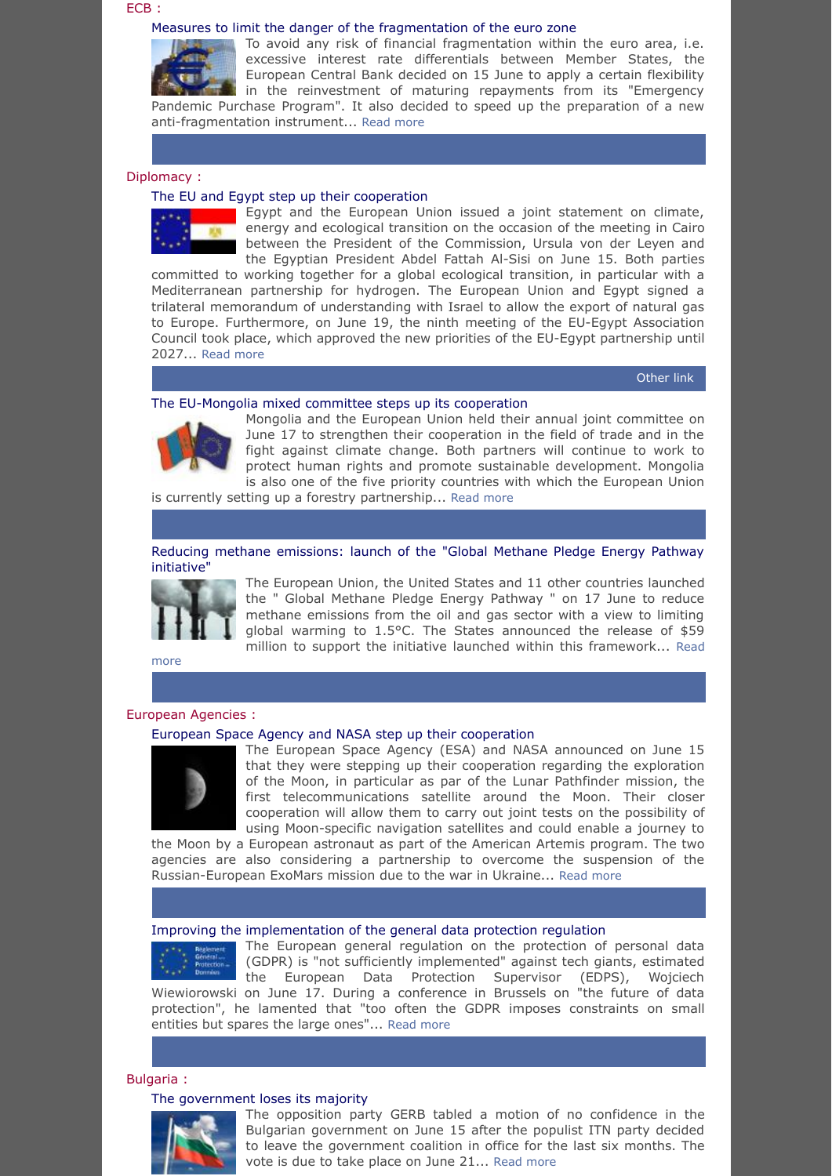#### <span id="page-3-0"></span>ECB :

#### <span id="page-3-1"></span>[Measures to limit the danger of the fragmentation of the euro zone](https://www.ecb.europa.eu/press/pr/date/2022/html/ecb.pr220615~2aa3900e0a.en.html)



excessive interest rate differentials between Member States, the European Central Bank decided on 15 June to apply a certain flexibility in the reinvestment of maturing repayments from its "Emergency Pandemic Purchase Program". It also decided to speed up the preparation of a new anti-fragmentation instrument... [Read more](https://www.ecb.europa.eu/press/pr/date/2022/html/ecb.pr220615~2aa3900e0a.en.html)

To avoid any risk of financial fragmentation within the euro area, i.e.

## <span id="page-3-2"></span>Diplomacy :

#### <span id="page-3-3"></span>[The EU and Egypt step up their cooperation](https://ec.europa.eu/commission/presscorner/detail/en/statement_22_3703)

Egypt and the European Union issued a joint statement on climate, energy and ecological transition on the occasion of the meeting in Cairo between the President of the Commission, Ursula von der Leyen and the Egyptian President Abdel Fattah Al-Sisi on June 15. Both parties committed to working together for a global ecological transition, in particular with a

Mediterranean partnership for hydrogen. The European Union and Egypt signed a trilateral memorandum of understanding with Israel to allow the export of natural gas to Europe. Furthermore, on June 19, the ninth meeting of the EU-Egypt Association Council took place, which approved the new priorities of the EU-Egypt partnership until 2027... [Read more](https://ec.europa.eu/commission/presscorner/detail/en/statement_22_3703)

[Other](https://www.consilium.europa.eu/en/meetings/international-ministerial-meetings/2022/06/19/) link

#### <span id="page-3-4"></span>[The EU-Mongolia mixed committee steps up its cooperation](https://www.eeas.europa.eu/eeas/eu-and-mongolia-hold-joint-committee-meeting_en)



Mongolia and the European Union held their annual joint committee on June 17 to strengthen their cooperation in the field of trade and in the fight against climate change. Both partners will continue to work to protect human rights and promote sustainable development. Mongolia is also one of the five priority countries with which the European Union

is currently setting up a forestry partnership... [Read more](https://www.eeas.europa.eu/eeas/eu-and-mongolia-hold-joint-committee-meeting_en)

<span id="page-3-5"></span>[Reducing methane emissions: launch of the "Global Methane Pledge Energy Pathway](https://ec.europa.eu/commission/presscorner/detail/en/ip_22_3793) initiative"



The European Union, the United States and 11 other countries launched the " Global Methane Pledge Energy Pathway " on 17 June to reduce methane emissions from the oil and gas sector with a view to limiting global warming to 1.5°C. The States announced the release of \$59 [million to support the initiative launched within this framework...](https://ec.europa.eu/commission/presscorner/detail/en/ip_22_3793) Read

more

#### <span id="page-3-6"></span>European Agencies :

#### <span id="page-3-7"></span>[European Space Agency and NASA step up their cooperation](https://www.esa.int/Newsroom/Press_Releases/From_the_Earth_to_the_Moon_and_on_to_Mars_ESA_and_NASA_take_decisions_and_plan_for_the_future)



The European Space Agency (ESA) and NASA announced on June 15 that they were stepping up their cooperation regarding the exploration of the Moon, in particular as par of the Lunar Pathfinder mission, the first telecommunications satellite around the Moon. Their closer cooperation will allow them to carry out joint tests on the possibility of using Moon-specific navigation satellites and could enable a journey to

the Moon by a European astronaut as part of the American Artemis program. The two agencies are also considering a partnership to overcome the suspension of the Russian-European ExoMars mission due to the war in Ukraine... [Read more](https://www.esa.int/Newsroom/Press_Releases/From_the_Earth_to_the_Moon_and_on_to_Mars_ESA_and_NASA_take_decisions_and_plan_for_the_future)

#### <span id="page-3-8"></span>[Improving the implementation of the general data protection regulation](https://edps.europa.eu/press-publications/press-news/press-releases/2022/edps-conference-2022-pan-european-approach-going_en)

The European general regulation on the protection of personal data (GDPR) is "not sufficiently implemented" against tech giants, estimated the European Data Protection Supervisor (EDPS), Wojciech Wiewiorowski on June 17. During a conference in Brussels on "the future of data protection", he lamented that "too often the GDPR imposes constraints on small entities but spares the large ones"... [Read more](https://edps.europa.eu/press-publications/press-news/press-releases/2022/edps-conference-2022-pan-european-approach-going_en)

## <span id="page-3-9"></span>Bulgaria :

#### <span id="page-3-10"></span>[The government loses its majority](https://www.reuters.com/world/europe/bulgarian-government-faces-no-confidence-vote-next-week-2022-06-15/)



The opposition party GERB tabled a motion of no confidence in the Bulgarian government on June 15 after the populist ITN party decided to leave the government coalition in office for the last six months. The vote is due to take place on June 21... [Read more](https://www.reuters.com/world/europe/bulgarian-government-faces-no-confidence-vote-next-week-2022-06-15/)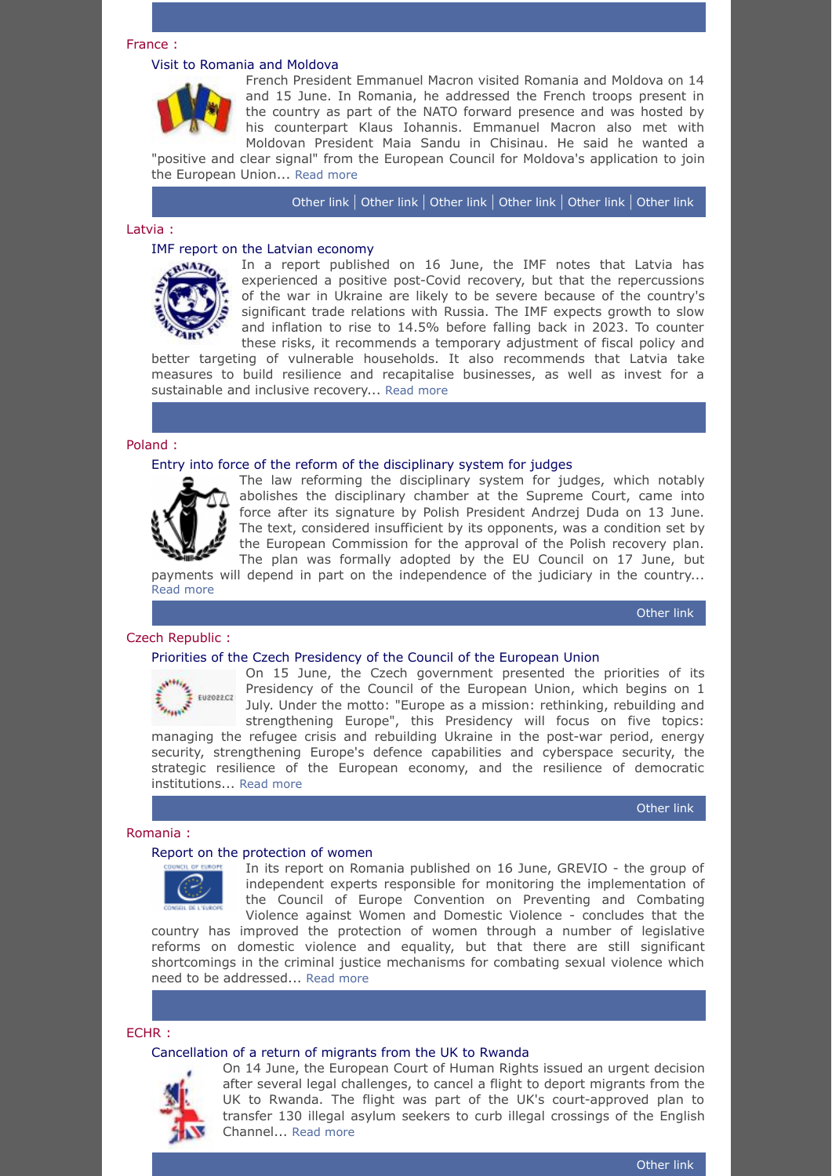#### <span id="page-4-0"></span>France :

#### <span id="page-4-1"></span>[Visit to Romania and Moldova](https://www.reuters.com/world/europe/frances-macron-says-moldovas-bid-join-eu-perfectly-legitimate-2022-06-15/)



French President Emmanuel Macron visited Romania and Moldova on 14 and 15 June. In Romania, he addressed the French troops present in the country as part of the NATO forward presence and was hosted by his counterpart Klaus Iohannis. Emmanuel Macron also met with Moldovan President Maia Sandu in Chisinau. He said he wanted a

"positive and clear signal" from the European Council for Moldova's application to join the European Union... [Read more](https://www.reuters.com/world/europe/frances-macron-says-moldovas-bid-join-eu-perfectly-legitimate-2022-06-15/)

[Other](https://www.elysee.fr/emmanuel-macron/2022/06/15/entretien-avec-le-president-de-la-roumanie-m-klaus-iohannis) link | [Other](https://www.presedinte.md/rom/presa/presedinta-maia-sandu-dupa-intrevederea-cu-presedintele-emmanuel-macron-pretuim-parteneriatul-moldo-francez-si-dorim-sa-l-consolidam-in-continuare-in-interesul-cetatenilor-tarilor-noastre) link | [Other](https://www.presidency.ro/ro/media/declaratii-de-presa/declaratiile-de-presa-comune-ale-presedintelui-romaniei-klaus-iohannis-cu-presedintele-republicii-franceze-emmanuel-macron1655283664) link | [Other](https://www.elysee.fr/emmanuel-macron/2022/06/15/deplacement-du-president-a-chisinau-en-moldavie-maia-sandu) link | [Other](https://www.elysee.fr/emmanuel-macron/2022/06/15/entretien-avec-la-presidente-de-la-republique-de-moldavie-mme-maia-sandu) link | [Other](https://www.elysee.fr/emmanuel-macron/2022/06/15/deplacement-du-president-aux-cotes-des-troupes-francaises-deployees-en-roumanie-dans-le-cadre-de-la-presence-avancee-de-lotan) link

## <span id="page-4-2"></span>Latvia :

#### <span id="page-4-3"></span>[IMF report on the Latvian economy](https://www.imf.org/en/News/Articles/2022/06/16/republic-of-latvia-staff-concluding-statement-of-the-2022-article-iv-mission)



In a report published on 16 June, the IMF notes that Latvia has experienced a positive post-Covid recovery, but that the repercussions of the war in Ukraine are likely to be severe because of the country's significant trade relations with Russia. The IMF expects growth to slow and inflation to rise to 14.5% before falling back in 2023. To counter these risks, it recommends a temporary adjustment of fiscal policy and

better targeting of vulnerable households. It also recommends that Latvia take measures to build resilience and recapitalise businesses, as well as invest for a sustainable and inclusive recovery... [Read more](https://www.imf.org/en/News/Articles/2022/06/16/republic-of-latvia-staff-concluding-statement-of-the-2022-article-iv-mission)

#### <span id="page-4-4"></span>Poland :

#### <span id="page-4-5"></span>[Entry into force of the reform of the disciplinary system for judges](https://www.polskieradio.pl/395/7784/Artykul/2979628,Polish-president-OKs-bill-to-scrap-disputed-disciplinary-chamber-for-judges)



The law reforming the disciplinary system for judges, which notably abolishes the disciplinary chamber at the Supreme Court, came into force after its signature by Polish President Andrzej Duda on 13 June. The text, considered insufficient by its opponents, was a condition set by the European Commission for the approval of the Polish recovery plan. The plan was formally adopted by the EU Council on 17 June, but

payments will depend in part on the independence of the judiciary in the country... [Read more](https://www.polskieradio.pl/395/7784/Artykul/2979628,Polish-president-OKs-bill-to-scrap-disputed-disciplinary-chamber-for-judges)

[Other](https://www.consilium.europa.eu/en/press/press-releases/2022/06/17/recovery-fund-ministers-welcome-assessment-of-poland-s-national-plan/) link

#### <span id="page-4-6"></span>Czech Republic :

#### <span id="page-4-7"></span>[Priorities of the Czech Presidency of the Council of the European Union](https://czech-presidency.consilium.europa.eu/en/programme/priorities/)

![](_page_4_Picture_19.jpeg)

On 15 June, the Czech government presented the priorities of its Presidency of the Council of the European Union, which begins on 1 July. Under the motto: "Europe as a mission: rethinking, rebuilding and strengthening Europe", this Presidency will focus on five topics:

managing the refugee crisis and rebuilding Ukraine in the post-war period, energy security, strengthening Europe's defence capabilities and cyberspace security, the strategic resilience of the European economy, and the resilience of democratic institutions... [Read more](https://czech-presidency.consilium.europa.eu/en/programme/priorities/)

[Other](https://czech-presidency.consilium.europa.eu/en/) link

# <span id="page-4-8"></span>Romania :

<span id="page-4-9"></span>![](_page_4_Picture_24.jpeg)

In its report on Romania published on 16 June, GREVIO - the group of independent experts responsible for monitoring the implementation of the Council of Europe Convention on Preventing and Combating Violence against Women and Domestic Violence - concludes that the

country has improved the protection of women through a number of legislative reforms on domestic violence and equality, but that there are still significant shortcomings in the criminal justice mechanisms for combating sexual violence which need to be addressed... [Read more](https://www.coe.int/fr/web/portal/full-news/-/asset_publisher/y5xQt7QdunzT/content/romania-has-improved-protection-of-women-from-domestic-violence-but-progress-needed-on-definition-of-rape?_101_INSTANCE_y5xQt7QdunzT_languageId=en_GB)

<span id="page-4-10"></span>ECHR :

#### <span id="page-4-11"></span>[Cancellation of a return of migrants from the UK to Rwanda](https://www.theguardian.com/uk-news/2022/jun/14/european-court-humam-right-makes-11th-hour-intervention-in-rwanda-asylum-seeker-plan)

![](_page_4_Picture_29.jpeg)

On 14 June, the European Court of Human Rights issued an urgent decision after several legal challenges, to cancel a flight to deport migrants from the UK to Rwanda. The flight was part of the UK's court-approved plan to transfer 130 illegal asylum seekers to curb illegal crossings of the English Channel... [Read more](https://www.theguardian.com/uk-news/2022/jun/14/european-court-humam-right-makes-11th-hour-intervention-in-rwanda-asylum-seeker-plan)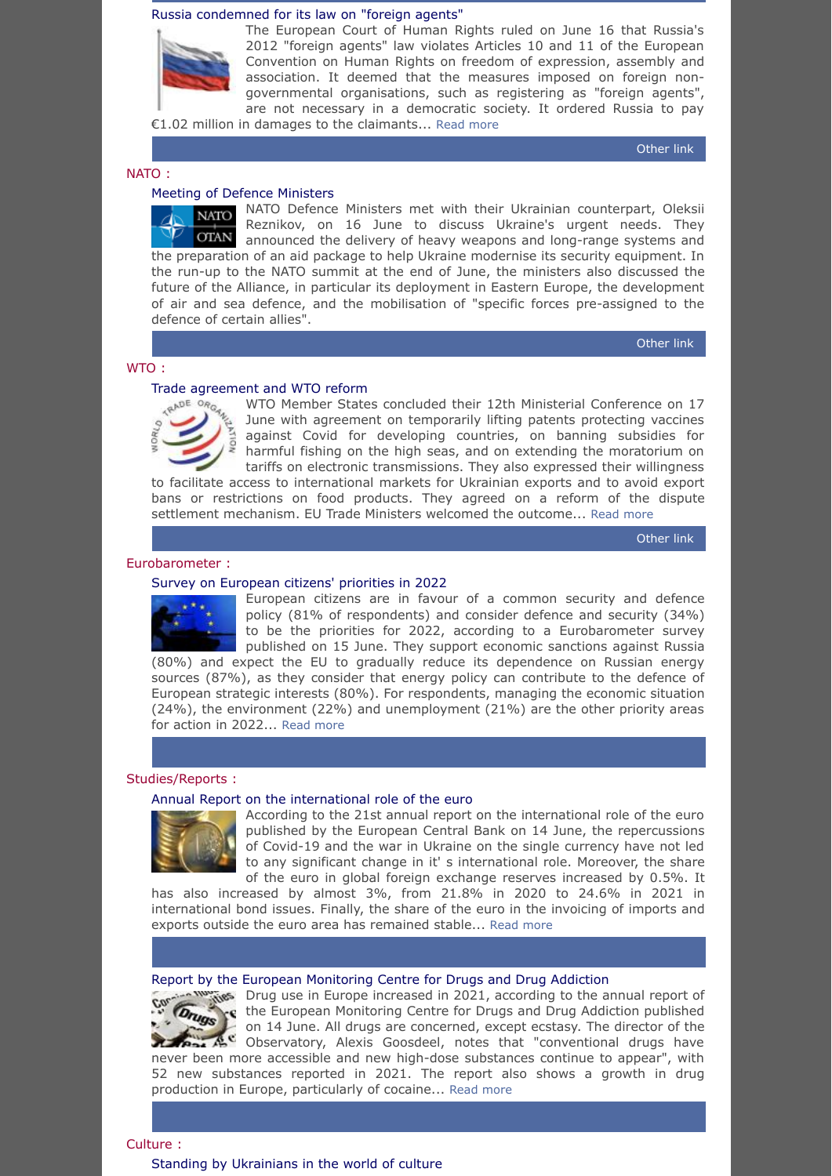#### <span id="page-5-0"></span>[Russia condemned for its law on "foreign agents"](https://www.euronews.com/2022/06/15/echr-fines-russia-for-branding-human-rights-groups-as-foreign-agents)

![](_page_5_Picture_1.jpeg)

The European Court of Human Rights ruled on June 16 that Russia's 2012 "foreign agents" law violates Articles 10 and 11 of the European Convention on Human Rights on freedom of expression, assembly and association. It deemed that the measures imposed on foreign nongovernmental organisations, such as registering as "foreign agents", are not necessary in a democratic society. It ordered Russia to pay €1.02 million in damages to the claimants... [Read more](https://www.euronews.com/2022/06/15/echr-fines-russia-for-branding-human-rights-groups-as-foreign-agents)

[Other](https://hudoc.echr.coe.int/eng-press#{%22itemid%22:[%22003-7358936-10052707%22]}) link

### <span id="page-5-1"></span>NATO :

<span id="page-5-3"></span>WTO :

#### <span id="page-5-2"></span>Meeting of Defence Ministers

NATO Defence Ministers met with their Ukrainian counterpart, Oleksii **NATO** Reznikov, on 16 June to discuss Ukraine's urgent needs. They **OTAN** announced the delivery of heavy weapons and long-range systems and the preparation of an aid package to help Ukraine modernise its security equipment. In the run-up to the NATO summit at the end of June, the ministers also discussed the future of the Alliance, in particular its deployment in Eastern Europe, the development of air and sea defence, and the mobilisation of "specific forces pre-assigned to the defence of certain allies".

[Other](https://www.nato.int/cps/en/natohq/news_196879.htm) link

![](_page_5_Picture_9.jpeg)

<span id="page-5-4"></span>[Trade agreement and WTO reform](https://www.wto.org/english/news_e/news22_e/mc12_17jun22_e.htm)<br>  $\begin{array}{ccc}\n\sqrt{R} & & \text{WTO Member State} \\
\hline\n\sqrt{R} & & \text{NTO Member State} \\
\end{array}$ WTO Member States concluded their 12th Ministerial Conference on 17 June with agreement on temporarily lifting patents protecting vaccines against Covid for developing countries, on banning subsidies for harmful fishing on the high seas, and on extending the moratorium on tariffs on electronic transmissions. They also expressed their willingness

to facilitate access to international markets for Ukrainian exports and to avoid export bans or restrictions on food products. They agreed on a reform of the dispute settlement mechanism. EU Trade Ministers welcomed the outcome... [Read more](https://www.wto.org/english/news_e/news22_e/mc12_17jun22_e.htm)

[Other](https://www.consilium.europa.eu/en/meetings/fac/2022/06/12-15/) link

## <span id="page-5-5"></span>Eurobarometer :

#### <span id="page-5-6"></span>[Survey on European citizens' priorities in 2022](https://ec.europa.eu/commission/presscorner/detail/en/ip_22_3756)

![](_page_5_Picture_15.jpeg)

European citizens are in favour of a common security and defence policy (81% of respondents) and consider defence and security (34%) to be the priorities for 2022, according to a Eurobarometer survey published on 15 June. They support economic sanctions against Russia (80%) and expect the EU to gradually reduce its dependence on Russian energy

sources (87%), as they consider that energy policy can contribute to the defence of European strategic interests (80%). For respondents, managing the economic situation (24%), the environment (22%) and unemployment (21%) are the other priority areas for action in 2022... [Read more](https://ec.europa.eu/commission/presscorner/detail/en/ip_22_3756)

### <span id="page-5-7"></span>Studies/Reports :

#### <span id="page-5-8"></span>[Annual Report on the international role of the euro](https://www.ecb.europa.eu/pub/ire/html/ecb.ire202206~6f3ddeab26.en.html)

![](_page_5_Picture_20.jpeg)

According to the 21st annual report on the international role of the euro published by the European Central Bank on 14 June, the repercussions of Covid-19 and the war in Ukraine on the single currency have not led to any significant change in it' s international role. Moreover, the share of the euro in global foreign exchange reserves increased by 0.5%. It

has also increased by almost 3%, from 21.8% in 2020 to 24.6% in 2021 in international bond issues. Finally, the share of the euro in the invoicing of imports and exports outside the euro area has remained stable... [Read more](https://www.ecb.europa.eu/pub/ire/html/ecb.ire202206~6f3ddeab26.en.html)

## <span id="page-5-9"></span>[Report by the European Monitoring Centre for Drugs and Drug Addiction](https://www.emcdda.europa.eu/system/files/publications/14644/EDR_2022_18-ONLINE.pdf)

Drug use in Europe increased in 2021, according to the annual report of the European Monitoring Centre for Drugs and Drug Addiction published Drugs on 14 June. All drugs are concerned, except ecstasy. The director of the Observatory, Alexis Goosdeel, notes that "conventional drugs have never been more accessible and new high-dose substances continue to appear", with 52 new substances reported in 2021. The report also shows a growth in drug production in Europe, particularly of cocaine... [Read more](https://www.emcdda.europa.eu/system/files/publications/14644/EDR_2022_18-ONLINE.pdf)

<span id="page-5-10"></span>Culture :

<span id="page-5-11"></span>[Standing by Ukrainians in the world of culture](https://www.ukrainians.ie/events/presentation-of-the-painting-special-military-operation/)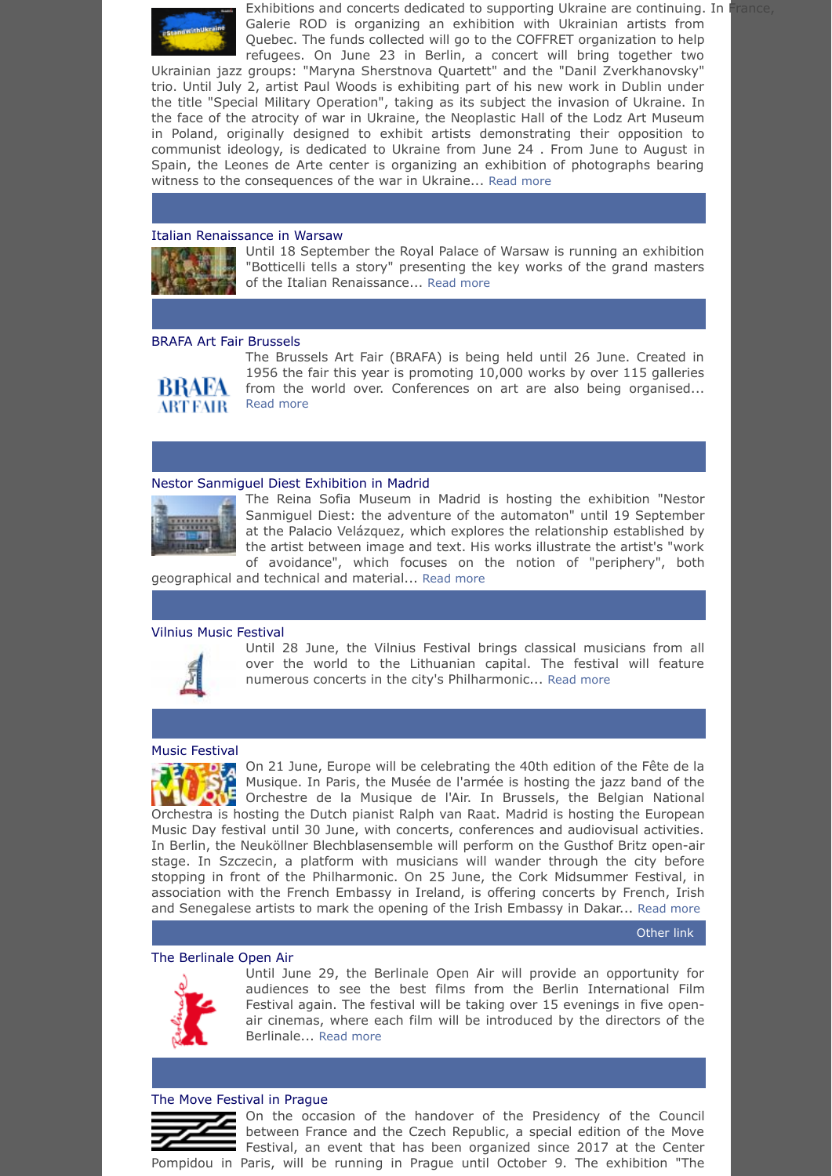![](_page_6_Picture_0.jpeg)

Exhibitions and concerts dedicated to supporting Ukraine are continuing. In France, Galerie ROD is organizing an exhibition with Ukrainian artists from Quebec. The funds collected will go to the COFFRET organization to help refugees. On June 23 in Berlin, a concert will bring together two

Ukrainian jazz groups: "Maryna Sherstnova Quartett" and the "Danil Zverkhanovsky" trio. Until July 2, artist Paul Woods is exhibiting part of his new work in Dublin under the title "Special Military Operation", taking as its subject the invasion of Ukraine. In the face of the atrocity of war in Ukraine, the Neoplastic Hall of the Lodz Art Museum in Poland, originally designed to exhibit artists demonstrating their opposition to communist ideology, is dedicated to Ukraine from June 24 . From June to August in Spain, the Leones de Arte center is organizing an exhibition of photographs bearing witness to the consequences of the war in Ukraine... [Read more](https://www.ukrainians.ie/events/presentation-of-the-painting-special-military-operation/)

## <span id="page-6-0"></span>[Italian Renaissance in Warsaw](https://www.zamek-krolewski.pl/en/botticelli-opowiada-historie)

![](_page_6_Picture_4.jpeg)

Until 18 September the Royal Palace of Warsaw is running an exhibition "Botticelli tells a story" presenting the key works of the grand masters of the Italian Renaissance... [Read more](https://www.zamek-krolewski.pl/en/botticelli-opowiada-historie)

### <span id="page-6-1"></span>[BRAFA Art Fair Brussels](https://www.brafa.art/en/home)

![](_page_6_Picture_7.jpeg)

The Brussels Art Fair (BRAFA) is being held until 26 June. Created in 1956 the fair this year is promoting 10,000 works by over 115 galleries from the world over. Conferences on art are also being organised... [Read more](https://www.brafa.art/en/home)

#### <span id="page-6-2"></span>[Nestor Sanmiguel Diest Exhibition in Madrid](https://www.museoreinasofia.es/en/exhibitions/nestor-sanmiguel)

![](_page_6_Picture_10.jpeg)

The Reina Sofia Museum in Madrid is hosting the exhibition "Nestor Sanmiguel Diest: the adventure of the automaton" until 19 September at the Palacio Velázquez, which explores the relationship established by the artist between image and text. His works illustrate the artist's "work of avoidance", which focuses on the notion of "periphery", both

geographical and technical and material... [Read more](https://www.museoreinasofia.es/en/exhibitions/nestor-sanmiguel)

### <span id="page-6-3"></span>[Vilnius Music Festival](https://www.vilniusfestivals.lt/en/program/program-of-vilnius-festival-2022/)

![](_page_6_Picture_14.jpeg)

Until 28 June, the Vilnius Festival brings classical musicians from all over the world to the Lithuanian capital. The festival will feature numerous concerts in the city's Philharmonic... [Read more](https://www.vilniusfestivals.lt/en/program/program-of-vilnius-festival-2022/)

#### <span id="page-6-4"></span>[Music Festival](https://fetedelamusique.culture.gouv.fr/en/programme)

**DEA** On 21 June, Europe will be celebrating the 40th edition of the Fête de la Musique. In Paris, the Musée de l'armée is hosting the jazz band of the **ORCHES Musique.** In Paris, the Musee de l'armee is nosting the jazz band of the **Carl Corpus** Orchestre de la Musique de l'Air. In Brussels, the Belgian National Orchestra is hosting the Dutch pianist Ralph van Raat. Madrid is hosting the European Music Day festival until 30 June, with concerts, conferences and audiovisual activities. In Berlin, the Neuköllner Blechblasensemble will perform on the Gusthof Britz open-air stage. In Szczecin, a platform with musicians will wander through the city before stopping in front of the Philharmonic. On 25 June, the Cork Midsummer Festival, in association with the French Embassy in Ireland, is offering concerts by French, Irish and Senegalese artists to mark the opening of the Irish Embassy in Dakar... [Read more](https://fetedelamusique.culture.gouv.fr/en/programme)

[Other](https://www.corkmidsummer.com/whats-on/f%C3%AAte-de-la-musique-senegal-france-ireland-a-hip-hop-celebration) link

## <span id="page-6-5"></span>[The Berlinale Open Air](https://www.berlinale.de/en/programme/berlinale-goes-open-air.html)

![](_page_6_Picture_20.jpeg)

Until June 29, the Berlinale Open Air will provide an opportunity for audiences to see the best films from the Berlin International Film Festival again. The festival will be taking over 15 evenings in five openair cinemas, where each film will be introduced by the directors of the Berlinale... [Read more](https://www.berlinale.de/en/programme/berlinale-goes-open-air.html)

#### <span id="page-6-6"></span>[The Move Festival in Prague](https://www.ngprague.cz/en/event/3349/Move-Festiva-Intimacy-as-Resistance)

On the occasion of the handover of the Presidency of the Council between France and the Czech Republic, a special edition of the Move Festival, an event that has been organized since 2017 at the Center Pompidou in Paris, will be running in Prague until October 9. The exhibition "The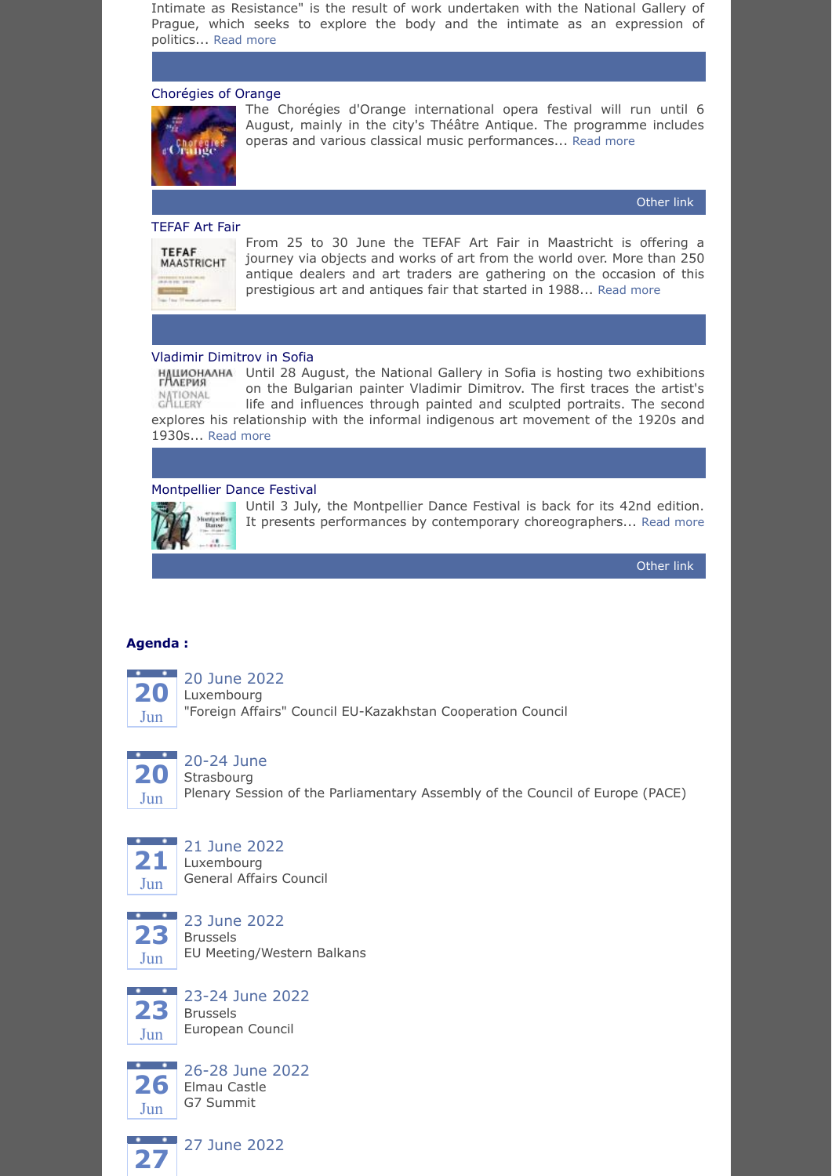Intimate as Resistance" is the result of work undertaken with the National Gallery of Prague, which seeks to explore the body and the intimate as an expression of politics... [Read more](https://www.ngprague.cz/en/event/3349/Move-Festiva-Intimacy-as-Resistance)

## <span id="page-7-0"></span>[Chorégies of Orange](https://www.seeprovence.com/events/calendar/les-choregies-d-orange)

![](_page_7_Picture_2.jpeg)

The Chorégies d'Orange international opera festival will run until 6 August, mainly in the city's Théâtre Antique. The programme includes operas and various classical music performances... [Read more](https://www.seeprovence.com/events/calendar/les-choregies-d-orange)

[Other](https://www.choregies.fr/programme.html) link

## <span id="page-7-1"></span>[TEFAF Art Fair](https://www.tefaf.com/fairs/tefaf-maastricht)

![](_page_7_Picture_6.jpeg)

From 25 to 30 June the TEFAF Art Fair in Maastricht is offering a journey via objects and works of art from the world over. More than 250 antique dealers and art traders are gathering on the occasion of this prestigious art and antiques fair that started in 1988... [Read more](https://www.tefaf.com/fairs/tefaf-maastricht)

## <span id="page-7-2"></span>[Vladimir Dimitrov in Sofia](https://nationalgallery.bg/exhibitions/%d0%bc%d0%b0%d0%b9%d1%81%d1%82%d0%be%d1%80%d0%b0/)

HAUИОНАЛНА Until 28 August, the National Gallery in Sofia is hosting two exhibitions on the Bulgarian painter Vladimir Dimitrov. The first traces the artist's NATIONAL<br>GALLERY life and influences through painted and sculpted portraits. The second explores his relationship with the informal indigenous art movement of the 1920s and 1930s... [Read more](https://nationalgallery.bg/exhibitions/%d0%bc%d0%b0%d0%b9%d1%81%d1%82%d0%be%d1%80%d0%b0/)

## <span id="page-7-3"></span>[Montpellier Dance Festival](https://www.montpellier-france.com/offre/fiche/montpellier-dance-festival/FMALAR034V523U7L)

![](_page_7_Picture_11.jpeg)

Until 3 July, the Montpellier Dance Festival is back for its 42nd edition. It presents performances by contemporary choreographers... [Read more](https://www.montpellier-france.com/offre/fiche/montpellier-dance-festival/FMALAR034V523U7L)

[Other](https://www.montpellierdanse.com/) link

## <span id="page-7-4"></span>**Agenda :**

![](_page_7_Picture_15.jpeg)

20 June 2022

Luxembourg "Foreign Affairs" Council EU-Kazakhstan Cooperation Council

![](_page_7_Picture_18.jpeg)

# 20-24 June

Strasbourg Plenary Session of the Parliamentary Assembly of the Council of Europe (PACE)

![](_page_7_Picture_21.jpeg)

## 21 June 2022 Luxembourg

General Affairs Council

![](_page_7_Picture_24.jpeg)

23 June 2022 Brussels EU Meeting/Western Balkans

![](_page_7_Picture_26.jpeg)

23-24 June 2022 Brussels European Council

![](_page_7_Picture_28.jpeg)

26-28 June 2022 Elmau Castle G7 Summit

![](_page_7_Picture_30.jpeg)

**27** 27 June 2022